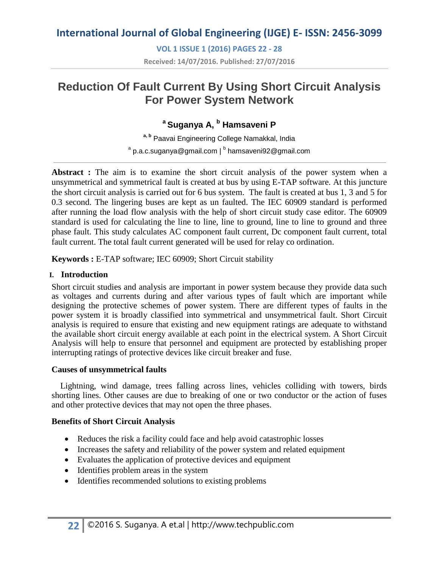**VOL 1 ISSUE 1 (2016) PAGES 22 - 28 Received: 14/07/2016. Published: 27/07/2016**

# **Reduction Of Fault Current By Using Short Circuit Analysis For Power System Network**

## **<sup>a</sup>Suganya A, <sup>b</sup> Hamsaveni P**

**a, b** Paavai Engineering College Namakkal, India  $^{\rm a}$  p.a.c.suganya@gmail.com |  $^{\rm b}$  hamsaveni92@gmail.com

**Abstract :** The aim is to examine the short circuit analysis of the power system when a unsymmetrical and symmetrical fault is created at bus by using E-TAP software. At this juncture the short circuit analysis is carried out for 6 bus system. The fault is created at bus 1, 3 and 5 for 0.3 second. The lingering buses are kept as un faulted. The IEC 60909 standard is performed after running the load flow analysis with the help of short circuit study case editor. The 60909 standard is used for calculating the line to line, line to ground, line to line to ground and three phase fault. This study calculates AC component fault current, Dc component fault current, total fault current. The total fault current generated will be used for relay co ordination.

**Keywords :** E-TAP software; IEC 60909; Short Circuit stability

### **I. Introduction**

Short circuit studies and analysis are important in power system because they provide data such as voltages and currents during and after various types of fault which are important while designing the protective schemes of power system. There are different types of faults in the power system it is broadly classified into symmetrical and unsymmetrical fault. Short Circuit analysis is required to ensure that existing and new equipment ratings are adequate to withstand the available short circuit energy available at each point in the electrical system. A Short Circuit Analysis will help to ensure that personnel and equipment are protected by establishing proper interrupting ratings of protective devices like circuit breaker and fuse.

#### **Causes of unsymmetrical faults**

Lightning, wind damage, trees falling across lines, vehicles colliding with towers, birds shorting lines. Other causes are due to breaking of one or two conductor or the action of fuses and other protective devices that may not open the three phases.

### **Benefits of Short Circuit Analysis**

- Reduces the risk a facility could face and help avoid catastrophic losses
- Increases the safety and reliability of the power system and related equipment
- Evaluates the application of protective devices and equipment
- Identifies problem areas in the system
- Identifies recommended solutions to existing problems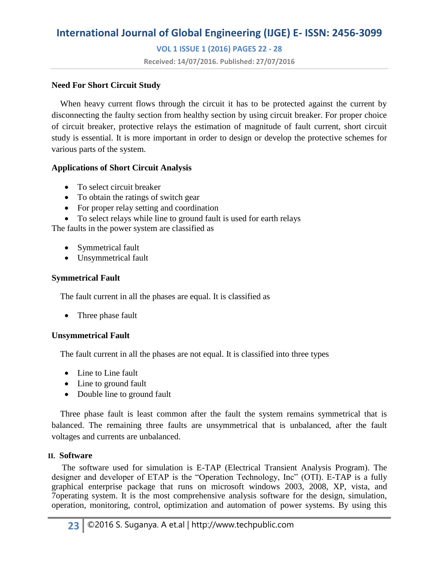**VOL 1 ISSUE 1 (2016) PAGES 22 - 28**

**Received: 14/07/2016. Published: 27/07/2016**

#### **Need For Short Circuit Study**

When heavy current flows through the circuit it has to be protected against the current by disconnecting the faulty section from healthy section by using circuit breaker. For proper choice of circuit breaker, protective relays the estimation of magnitude of fault current, short circuit study is essential. It is more important in order to design or develop the protective schemes for various parts of the system.

#### **Applications of Short Circuit Analysis**

- To select circuit breaker
- To obtain the ratings of switch gear
- For proper relay setting and coordination
- To select relays while line to ground fault is used for earth relays

The faults in the power system are classified as

- Symmetrical fault
- Unsymmetrical fault

#### **Symmetrical Fault**

The fault current in all the phases are equal. It is classified as

• Three phase fault

#### **Unsymmetrical Fault**

The fault current in all the phases are not equal. It is classified into three types

- Line to Line fault
- Line to ground fault
- Double line to ground fault

 Three phase fault is least common after the fault the system remains symmetrical that is balanced. The remaining three faults are unsymmetrical that is unbalanced, after the fault voltages and currents are unbalanced.

#### **II. Software**

The software used for simulation is E-TAP (Electrical Transient Analysis Program). The designer and developer of ETAP is the "Operation Technology, Inc" (OTI). E-TAP is a fully graphical enterprise package that runs on microsoft windows 2003, 2008, XP, vista, and 7operating system. It is the most comprehensive analysis software for the design, simulation, operation, monitoring, control, optimization and automation of power systems. By using this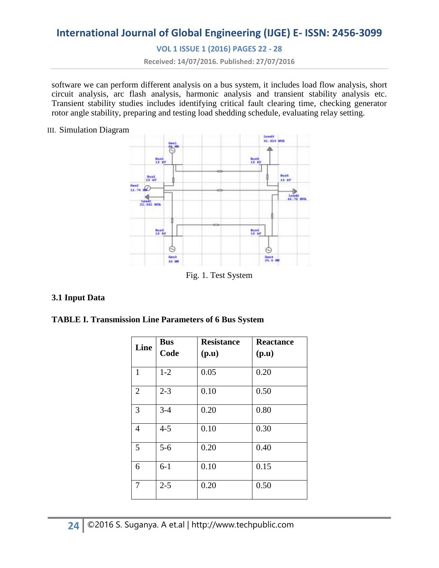**VOL 1 ISSUE 1 (2016) PAGES 22 - 28**

**Received: 14/07/2016. Published: 27/07/2016**

software we can perform different analysis on a bus system, it includes load flow analysis, short circuit analysis, arc flash analysis, harmonic analysis and transient stability analysis etc. Transient stability studies includes identifying critical fault clearing time, checking generator rotor angle stability, preparing and testing load shedding schedule, evaluating relay setting.

III. Simulation Diagram



Fig. 1. Test System

#### **3.1 Input Data**

| <b>TABLE I. Transmission Line Parameters of 6 Bus System</b> |
|--------------------------------------------------------------|
|--------------------------------------------------------------|

| Line           | <b>Bus</b><br>Code | <b>Resistance</b><br>(p.u) | <b>Reactance</b><br>(p.u) |
|----------------|--------------------|----------------------------|---------------------------|
| $\mathbf{1}$   | $1-2$              | 0.05                       | 0.20                      |
| $\overline{2}$ | $2 - 3$            | 0.10                       | 0.50                      |
| 3              | $3 - 4$            | 0.20                       | 0.80                      |
| $\overline{4}$ | $4 - 5$            | 0.10                       | 0.30                      |
| 5              | $5-6$              | 0.20                       | 0.40                      |
| 6              | $6-1$              | 0.10                       | 0.15                      |
| $\overline{7}$ | $2 - 5$            | 0.20                       | 0.50                      |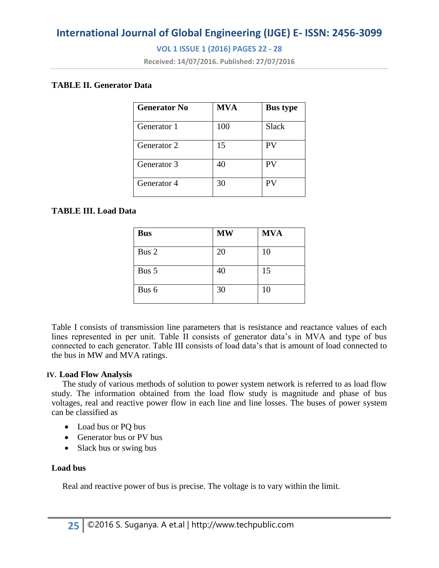### **VOL 1 ISSUE 1 (2016) PAGES 22 - 28**

**Received: 14/07/2016. Published: 27/07/2016**

#### **TABLE II. Generator Data**

| <b>Generator No</b> | <b>MVA</b> | <b>Bus type</b> |
|---------------------|------------|-----------------|
| Generator 1         | 100        | <b>Slack</b>    |
| Generator 2         | 15         | PV              |
| Generator 3         | 40         | PV              |
| Generator 4         | 30         | PV              |

#### **TABLE III. Load Data**

| <b>Bus</b> | <b>MW</b> | <b>MVA</b> |
|------------|-----------|------------|
| Bus 2      | 20        | 10         |
| Bus 5      | 40        | 15         |
| Bus 6      | 30        | 10         |

Table I consists of transmission line parameters that is resistance and reactance values of each lines represented in per unit. Table II consists of generator data's in MVA and type of bus connected to each generator. Table III consists of load data's that is amount of load connected to the bus in MW and MVA ratings.

#### **IV. Load Flow Analysis**

 The study of various methods of solution to power system network is referred to as load flow study. The information obtained from the load flow study is magnitude and phase of bus voltages, real and reactive power flow in each line and line losses. The buses of power system can be classified as

- Load bus or PQ bus
- Generator bus or PV bus
- Slack bus or swing bus

#### **Load bus**

Real and reactive power of bus is precise. The voltage is to vary within the limit.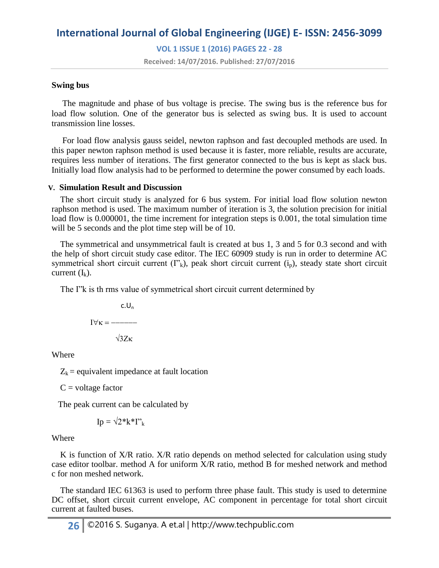**VOL 1 ISSUE 1 (2016) PAGES 22 - 28**

**Received: 14/07/2016. Published: 27/07/2016**

#### **Swing bus**

The magnitude and phase of bus voltage is precise. The swing bus is the reference bus for load flow solution. One of the generator bus is selected as swing bus. It is used to account transmission line losses.

 For load flow analysis gauss seidel, newton raphson and fast decoupled methods are used. In this paper newton raphson method is used because it is faster, more reliable, results are accurate, requires less number of iterations. The first generator connected to the bus is kept as slack bus. Initially load flow analysis had to be performed to determine the power consumed by each loads.

#### **V. Simulation Result and Discussion**

 The short circuit study is analyzed for 6 bus system. For initial load flow solution newton raphson method is used. The maximum number of iteration is 3, the solution precision for initial load flow is 0.000001, the time increment for integration steps is 0.001, the total simulation time will be 5 seconds and the plot time step will be of 10.

 The symmetrical and unsymmetrical fault is created at bus 1, 3 and 5 for 0.3 second and with the help of short circuit study case editor. The IEC 60909 study is run in order to determine AC symmetrical short circuit current  $(Y_k)$ , peak short circuit current  $(i_p)$ , steady state short circuit current  $(I_k)$ .

The I"k is th rms value of symmetrical short circuit current determined by

 $c.U_n$  $I \forall \kappa =$  ------ $\sqrt{3Z}\kappa$ 

Where

 $Z_k$  = equivalent impedance at fault location

 $C =$ voltage factor

The peak current can be calculated by

$$
\mathrm{Ip}=\sqrt{2^*}\mathrm{k^*}\Gamma^*_{\mathrm{k}}
$$

#### Where

K is function of X/R ratio. X/R ratio depends on method selected for calculation using study case editor toolbar. method A for uniform X/R ratio, method B for meshed network and method c for non meshed network.

 The standard IEC 61363 is used to perform three phase fault. This study is used to determine DC offset, short circuit current envelope, AC component in percentage for total short circuit current at faulted buses.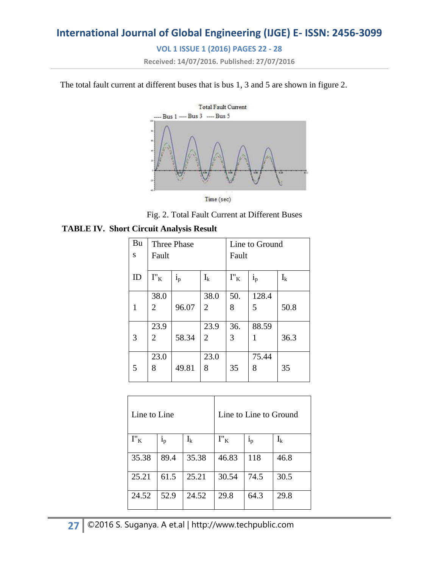### **VOL 1 ISSUE 1 (2016) PAGES 22 - 28**

**Received: 14/07/2016. Published: 27/07/2016**

The total fault current at different buses that is bus 1, 3 and 5 are shown in figure 2.



Time (sec)

Fig. 2. Total Fault Current at Different Buses

#### **TABLE IV. Short Circuit Analysis Result**

| Bu           | <b>Three Phase</b>          |         |                | Line to Ground                         |         |       |
|--------------|-----------------------------|---------|----------------|----------------------------------------|---------|-------|
| S            | Fault                       |         |                | Fault                                  |         |       |
|              |                             |         |                |                                        |         |       |
| ID           | $\mathbf{I}''_{\mathbf{K}}$ | $i_{p}$ | $I_k$          | $\mathbf{I}''_{\phantom{a}\mathbf{K}}$ | $i_{p}$ | $I_k$ |
|              |                             |         |                |                                        |         |       |
|              | 38.0                        |         | 38.0           | 50.                                    | 128.4   |       |
| $\mathbf{1}$ | 2                           | 96.07   | $\overline{2}$ | 8                                      | 5       | 50.8  |
|              |                             |         |                |                                        |         |       |
|              | 23.9                        |         | 23.9           | 36.                                    | 88.59   |       |
| 3            | 2                           | 58.34   | $\overline{2}$ | 3                                      | 1       | 36.3  |
|              |                             |         |                |                                        |         |       |
|              | 23.0                        |         | 23.0           |                                        | 75.44   |       |
| 5            | 8                           | 49.81   | 8              | 35                                     | 8       | 35    |
|              |                             |         |                |                                        |         |       |

| Line to Line                |                | Line to Line to Ground |         |                           |       |
|-----------------------------|----------------|------------------------|---------|---------------------------|-------|
| $\mathbf{I}''_{\mathbf{K}}$ | 1 <sub>p</sub> | $I_k$                  | $I''_K$ | $\mathbf{i}_{\mathrm{p}}$ | $I_k$ |
| 35.38                       | 89.4           | 35.38                  | 46.83   | 118                       | 46.8  |
| 25.21                       | 61.5           | 25.21                  | 30.54   | 74.5                      | 30.5  |
| 24.52                       | 52.9           | 24.52                  | 29.8    | 64.3                      | 29.8  |